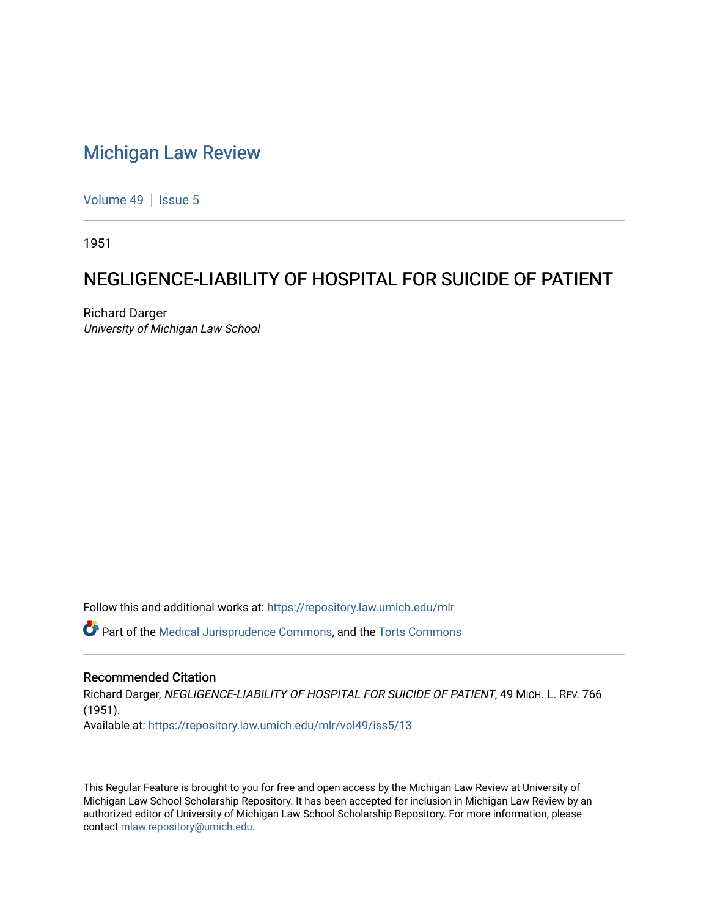## [Michigan Law Review](https://repository.law.umich.edu/mlr)

[Volume 49](https://repository.law.umich.edu/mlr/vol49) | [Issue 5](https://repository.law.umich.edu/mlr/vol49/iss5)

1951

## NEGLIGENCE-LIABILITY OF HOSPITAL FOR SUICIDE OF PATIENT

Richard Darger University of Michigan Law School

Follow this and additional works at: [https://repository.law.umich.edu/mlr](https://repository.law.umich.edu/mlr?utm_source=repository.law.umich.edu%2Fmlr%2Fvol49%2Fiss5%2F13&utm_medium=PDF&utm_campaign=PDFCoverPages) 

Part of the [Medical Jurisprudence Commons,](http://network.bepress.com/hgg/discipline/860?utm_source=repository.law.umich.edu%2Fmlr%2Fvol49%2Fiss5%2F13&utm_medium=PDF&utm_campaign=PDFCoverPages) and the [Torts Commons](http://network.bepress.com/hgg/discipline/913?utm_source=repository.law.umich.edu%2Fmlr%2Fvol49%2Fiss5%2F13&utm_medium=PDF&utm_campaign=PDFCoverPages) 

## Recommended Citation

Richard Darger, NEGLIGENCE-LIABILITY OF HOSPITAL FOR SUICIDE OF PATIENT, 49 MICH. L. REV. 766 (1951). Available at: [https://repository.law.umich.edu/mlr/vol49/iss5/13](https://repository.law.umich.edu/mlr/vol49/iss5/13?utm_source=repository.law.umich.edu%2Fmlr%2Fvol49%2Fiss5%2F13&utm_medium=PDF&utm_campaign=PDFCoverPages) 

This Regular Feature is brought to you for free and open access by the Michigan Law Review at University of Michigan Law School Scholarship Repository. It has been accepted for inclusion in Michigan Law Review by an authorized editor of University of Michigan Law School Scholarship Repository. For more information, please contact [mlaw.repository@umich.edu](mailto:mlaw.repository@umich.edu).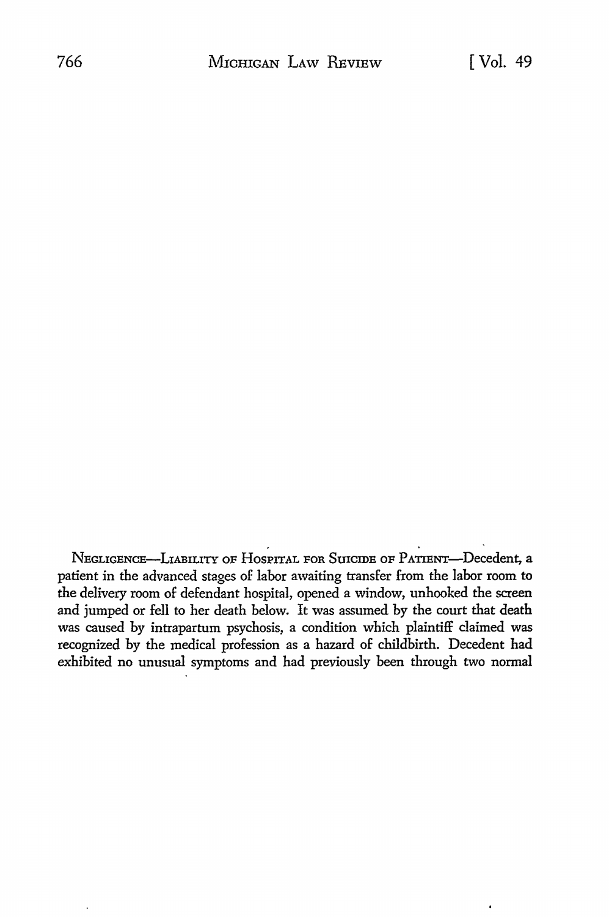NEGLIGENCE-LIABILITY OF HOSPITAL FOR SUICIDE OF PATIENT-Decedent, a patient in the advanced stages of labor awaiting transfer from the labor room to the delivery room of defendant hospital, opened a window, unhooked the screen and jumped or fell to her death below. It was assumed by the court that death was caused by intrapartum psychosis, a condition which plaintiff claimed was recognized by the medical profession as a hazard of childbirth. Decedent had exhibited no unusual symptoms and had previously been through two normal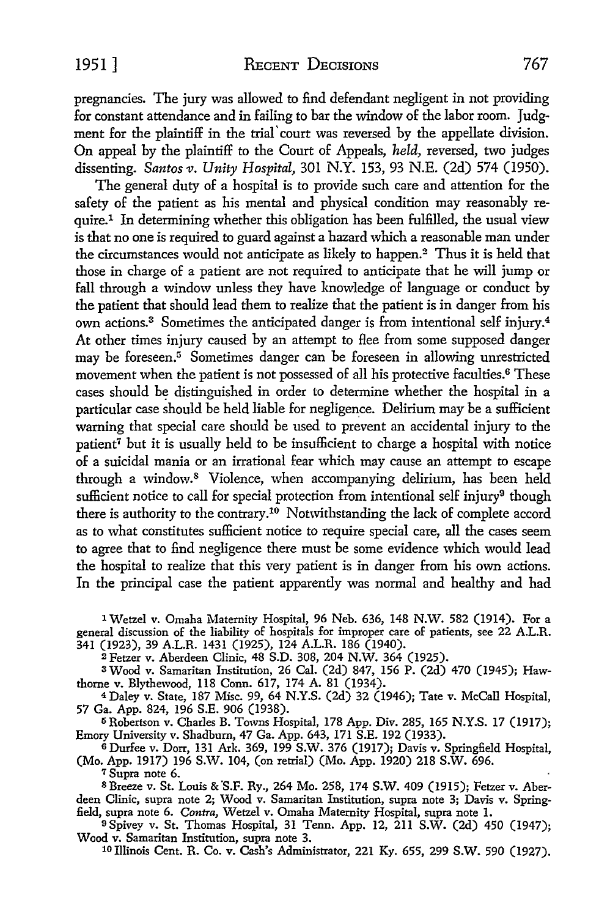pregnancies. The jury was allowed *to* find defendant negligent in not providing for constant attendance and in failing *to* bar the window of the labor room. Judgment for the plaintiff in the trial' court was reversed by the appellate division. On appeal by the plaintiff *to* the Court of Appeals, *held,* reversed, two judges dissenting. *Santos v. Unity Hospital,* 301 N.Y. 153, 93 N.E. (2d) 574 (1950).

The general duty of a hospital is *to* provide such care and attention for the safety of the patient as his mental and physical condition may reasonably require.<sup>1</sup> In determining whether this obligation has been fulfilled, the usual view is that no one is required to guard against a hazard which a reasonable man under the circumstances would not anticipate as likely to happen.2 Thus it is held that those in charge of a patient are not required to anticipate that he will jump or fall through a window unless they have knowledge of language or conduct by the patient that should lead them to realize that the patient is in danger from his own actions.3 Sometimes the anticipated danger is from intentional self injury.4 At other times injury caused by an attempt to flee from some supposed danger may be foreseen.<sup>5</sup> Sometimes danger can be foreseen in allowing unrestricted movement when the patient is not possessed of all his protective faculties.<sup>6</sup> These cases should be distinguished in order to determine whether the hospital in a particular case should be held liable for negligence. Delirium may be a sufficient warning that special care should be used to prevent an accidental injury to the patient<sup>7</sup> but it is usually held to be insufficient to charge a hospital with notice of a suicidal mania or an irrational fear which may cause an attempt to escape through a window.<sup>8</sup> Violence, when accompanying delirium, has been held sufficient notice to call for special protection from intentional self injury<sup>9</sup> though there is authority to the contrary.<sup>10</sup> Notwithstanding the lack of complete accord as to what constitutes sufficient notice *to* require special care, all the cases seem *to* agree that *to* find negligence there must be some evidence which would lead the hospital to realize that this very patient is in danger from his own actions. In the principal case the patient apparently was normal and healthy and had

1 Wetzel v. Omaha Maternity Hospital, 96 Neb. 636, 148 N.W. 582 (1914). For a general discussion of the liability of hospitals for improper care of patients, see 22 A.L.R. 341 (1923), 39 A.L.R. 1431 (1925), 124 A.L.R. 186 (1940).

<sup>2</sup>Fetzer v. Aberdeen Clinic, 48 S.D. 308, 204 N.W. 364 (1925).

3 Wood v. Samaritan Institution, 26 Cal. (2d) 847, 156 P. (2d) 470 (1945); Hawthorne v. Blythewood, 118 Conn. 617, 174 A. 81 (1934).

<sup>4</sup> Daley v. State, 187 Misc. 99, 64 N.Y.S. (2d) 32 (1946); Tate v. McCall Hospital, 57 Ga. App. 824, 196 S.E. 906 (1938).

<sup>5</sup> Robertson v. Charles B. Towns Hospital, 178 App. Div. 285, 165 N.Y.S. 17 (1917); Emory University v. Shadburn, 47 Ga. App. 643, 171 S.E. 192 (1933).

 $6$  Durfee v. Dorr, 131 Ark. 369, 199 S.W. 376 (1917); Davis v. Springfield Hospital, (Mo. App. 1917) 196 S.W. 104, (on retrial) (Mo. App. 1920) 218 S.W. 696.

<sup>7</sup>Supra note 6.

8 Breeze v. St. Louis & S.F. Ry., 264 Mo. 258, 174 S.W. 409 (1915); Fetzer v. Aberdeen Clinic, supra note 2; Wood v. Samaritan Institution, supra note 3; Davis v. Springfield, supra note 6. *Contra*, Wetzel v. Omaha Maternity Hospital, supra note 1.

<sup>9</sup>Spivey v. St. Thomas HOSPital, 31 Tenn. App. 12, 211 S.W. (2d) 450 (1947); Wood v. Samaritan Institution, supra note 3.

10 Illinois Cent. R. Co. v. Cash's Administrator, 221 Ky. 655, 299 S.W. 590 (1927).